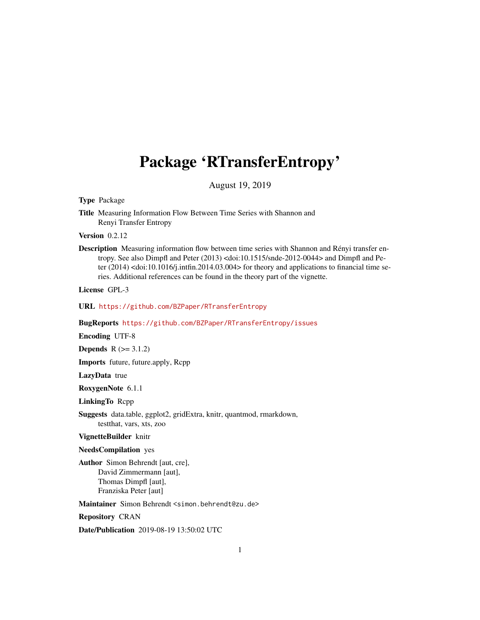# <span id="page-0-0"></span>Package 'RTransferEntropy'

August 19, 2019

Type Package

Title Measuring Information Flow Between Time Series with Shannon and Renyi Transfer Entropy

Version 0.2.12

Description Measuring information flow between time series with Shannon and Rényi transfer entropy. See also Dimpfl and Peter (2013) <doi:10.1515/snde-2012-0044> and Dimpfl and Peter (2014) <doi:10.1016/j.intfin.2014.03.004> for theory and applications to financial time series. Additional references can be found in the theory part of the vignette.

License GPL-3

URL <https://github.com/BZPaper/RTransferEntropy>

BugReports <https://github.com/BZPaper/RTransferEntropy/issues>

Encoding UTF-8

**Depends**  $R$  ( $>= 3.1.2$ )

Imports future, future.apply, Rcpp

LazyData true

RoxygenNote 6.1.1

LinkingTo Rcpp

Suggests data.table, ggplot2, gridExtra, knitr, quantmod, rmarkdown, testthat, vars, xts, zoo

VignetteBuilder knitr

NeedsCompilation yes

Author Simon Behrendt [aut, cre], David Zimmermann [aut], Thomas Dimpfl [aut], Franziska Peter [aut]

Maintainer Simon Behrendt <simon.behrendt@zu.de>

Repository CRAN

Date/Publication 2019-08-19 13:50:02 UTC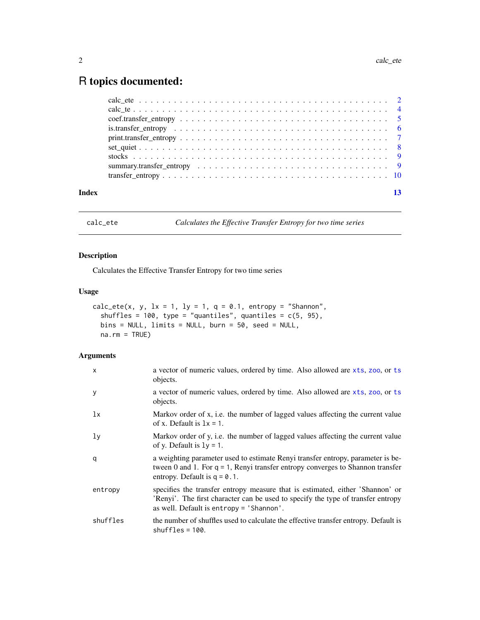## <span id="page-1-0"></span>R topics documented:

| Index |  |  |  |  |  |  |  |  |  |  |  |  |  |  |  |  |
|-------|--|--|--|--|--|--|--|--|--|--|--|--|--|--|--|--|

<span id="page-1-1"></span>calc\_ete *Calculates the Effective Transfer Entropy for two time series*

#### Description

Calculates the Effective Transfer Entropy for two time series

#### Usage

```
calc_ete(x, y, lx = 1, ly = 1, q = 0.1, entropy = "Shannon",
  shuffles = 100, type = "quantiles", quantiles = c(5, 95),
 bins = NULL, limits = NULL, burn = 50, seed = NULL,
 na.rm = TRUE)
```
#### Arguments

| $\mathsf{x}$   | a vector of numeric values, ordered by time. Also allowed are xts, zoo, or ts<br>objects.                                                                                                                     |
|----------------|---------------------------------------------------------------------------------------------------------------------------------------------------------------------------------------------------------------|
| У              | a vector of numeric values, ordered by time. Also allowed are xts, zoo, or ts<br>objects.                                                                                                                     |
| 1x             | Markov order of x, i.e. the number of lagged values affecting the current value<br>of x. Default is $1x = 1$ .                                                                                                |
| 1 <sub>y</sub> | Markov order of y, i.e. the number of lagged values affecting the current value<br>of y. Default is $1y = 1$ .                                                                                                |
| q              | a weighting parameter used to estimate Renyi transfer entropy, parameter is be-<br>tween 0 and 1. For $q = 1$ , Renyi transfer entropy converges to Shannon transfer<br>entropy. Default is $q = 0.1$ .       |
| entropy        | specifies the transfer entropy measure that is estimated, either 'Shannon' or<br>'Renyi'. The first character can be used to specify the type of transfer entropy<br>as well. Default is entropy = 'Shannon'. |
| shuffles       | the number of shuffles used to calculate the effective transfer entropy. Default is<br>$shuffles = 100.$                                                                                                      |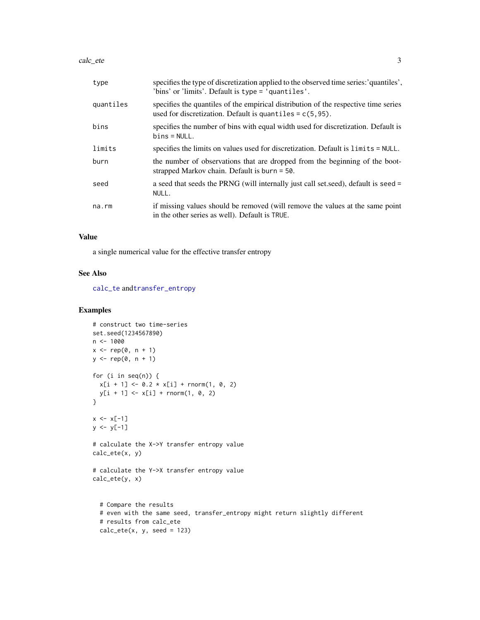#### <span id="page-2-0"></span>calc\_ete 3

| type      | specifies the type of discretization applied to the observed time series: 'quantiles',<br>'bins' or 'limits'. Default is type = 'quantiles'.        |
|-----------|-----------------------------------------------------------------------------------------------------------------------------------------------------|
| quantiles | specifies the quantiles of the empirical distribution of the respective time series<br>used for discretization. Default is quantiles $= c(5, 95)$ . |
| bins      | specifies the number of bins with equal width used for discretization. Default is<br>$bins = NULL.$                                                 |
| limits    | specifies the limits on values used for discretization. Default is limits = NULL.                                                                   |
| burn      | the number of observations that are dropped from the beginning of the boot-<br>strapped Markov chain. Default is burn $=$ 50.                       |
| seed      | a seed that seeds the PRNG (will internally just call set seed), default is seed =<br>NULL.                                                         |
| na.rm     | if missing values should be removed (will remove the values at the same point<br>in the other series as well). Default is TRUE.                     |

#### Value

a single numerical value for the effective transfer entropy

#### See Also

[calc\\_te](#page-3-1) and[transfer\\_entropy](#page-9-1)

#### Examples

```
# construct two time-series
set.seed(1234567890)
n <- 1000
x \leq -\operatorname{rep}(\emptyset, n + 1)y \leq - rep(0, n + 1)for (i in seq(n)) {
  x[i + 1] \leftarrow 0.2 \times x[i] + \text{norm}(1, 0, 2)y[i + 1] < -x[i] + \text{norm}(1, 0, 2)}
x \le -x[-1]y \le y[-1]# calculate the X->Y transfer entropy value
calc_ete(x, y)
# calculate the Y->X transfer entropy value
calc_ete(y, x)
  # Compare the results
  # even with the same seed, transfer_entropy might return slightly different
  # results from calc_ete
  calc\_ete(x, y, seed = 123)
```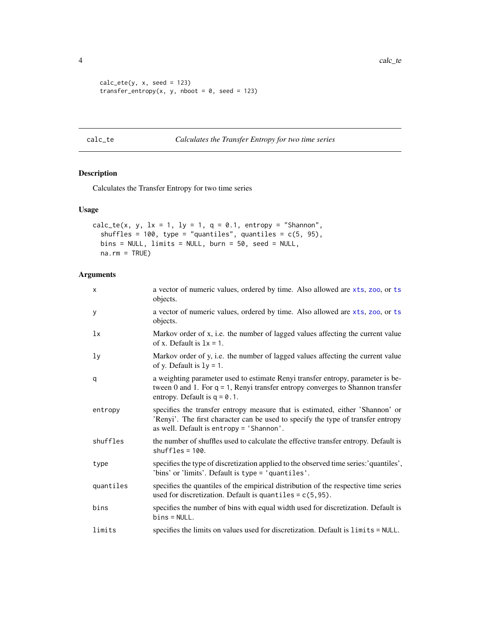```
calc\_ete(y, x, seed = 123)transfer_entropy(x, y, nboot = 0, seed = 123)
```
<span id="page-3-1"></span>calc\_te *Calculates the Transfer Entropy for two time series*

### Description

Calculates the Transfer Entropy for two time series

#### Usage

```
calc_te(x, y, 1x = 1, 1y = 1, q = 0.1, entropy = "Shannon",
  shuffles = 100, type = "quantiles", quantiles = c(5, 95),
 bins = NULL, limits = NULL, burn = 50, seed = NULL,
 na.rm = TRUE)
```
#### Arguments

| $\mathsf{x}$   | a vector of numeric values, ordered by time. Also allowed are xts, zoo, or ts<br>objects.                                                                                                                     |
|----------------|---------------------------------------------------------------------------------------------------------------------------------------------------------------------------------------------------------------|
| y              | a vector of numeric values, ordered by time. Also allowed are xts, zoo, or ts<br>objects.                                                                                                                     |
| 1x             | Markov order of x, i.e. the number of lagged values affecting the current value<br>of x. Default is $1x = 1$ .                                                                                                |
| 1 <sub>y</sub> | Markov order of y, i.e. the number of lagged values affecting the current value<br>of y. Default is $1y = 1$ .                                                                                                |
| q              | a weighting parameter used to estimate Renyi transfer entropy, parameter is be-<br>tween $0$ and $1$ . For $q = 1$ , Renyi transfer entropy converges to Shannon transfer<br>entropy. Default is $q = 0.1$ .  |
| entropy        | specifies the transfer entropy measure that is estimated, either 'Shannon' or<br>'Renyi'. The first character can be used to specify the type of transfer entropy<br>as well. Default is entropy = 'Shannon'. |
| shuffles       | the number of shuffles used to calculate the effective transfer entropy. Default is<br>$shuffles = 100$ .                                                                                                     |
| type           | specifies the type of discretization applied to the observed time series:'quantiles',<br>'bins' or 'limits'. Default is type = 'quantiles'.                                                                   |
| quantiles      | specifies the quantiles of the empirical distribution of the respective time series<br>used for discretization. Default is quantiles = $c(5, 95)$ .                                                           |
| bins           | specifies the number of bins with equal width used for discretization. Default is<br>$bins = NULL.$                                                                                                           |
| limits         | specifies the limits on values used for discretization. Default is limits = NULL.                                                                                                                             |

<span id="page-3-0"></span>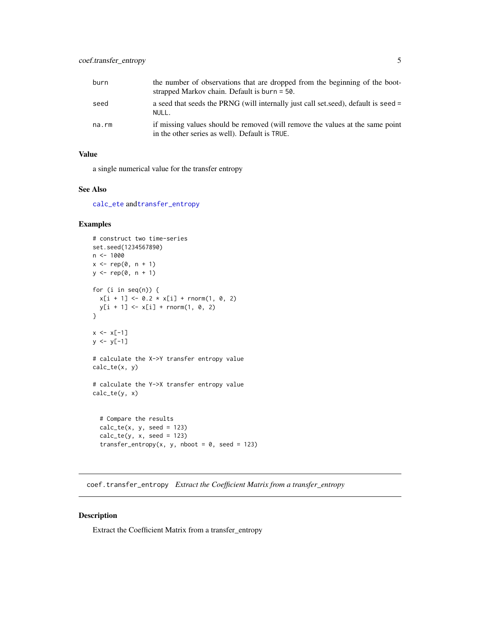<span id="page-4-0"></span>

| burn  | the number of observations that are dropped from the beginning of the boot-<br>strapped Markov chain. Default is burn $=$ 50.   |
|-------|---------------------------------------------------------------------------------------------------------------------------------|
| seed  | a seed that seeds the PRNG (will internally just call set, seed), default is seed $=$<br>NULL.                                  |
| na.rm | if missing values should be removed (will remove the values at the same point<br>in the other series as well). Default is TRUE. |

#### Value

a single numerical value for the transfer entropy

#### See Also

[calc\\_ete](#page-1-1) and[transfer\\_entropy](#page-9-1)

#### Examples

```
# construct two time-series
set.seed(1234567890)
n < - 1000x \leq -\operatorname{rep}(\emptyset, n + 1)y \leq - rep(0, n + 1)for (i in seq(n)) {
  x[i + 1] \le 0.2 \times x[i] + \text{norm}(1, 0, 2)y[i + 1] <- x[i] + rnorm(1, 0, 2)
}
x \le -x[-1]y \le y[-1]# calculate the X->Y transfer entropy value
calc_te(x, y)
# calculate the Y->X transfer entropy value
calc_te(y, x)
  # Compare the results
  calc_t(e(x, y, seed = 123))calc_t(y, x, seed = 123)transfer_entropy(x, y, nboot = 0, seed = 123)
```
coef.transfer\_entropy *Extract the Coefficient Matrix from a transfer\_entropy*

#### Description

Extract the Coefficient Matrix from a transfer\_entropy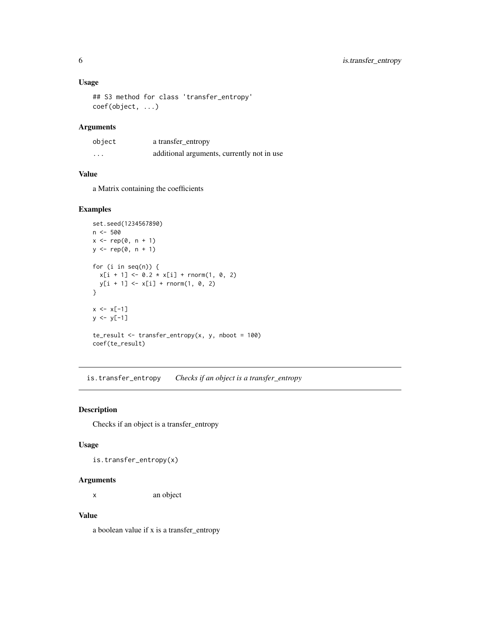#### <span id="page-5-0"></span>Usage

```
## S3 method for class 'transfer_entropy'
coef(object, ...)
```
#### Arguments

| object   | a transfer_entropy                         |
|----------|--------------------------------------------|
| $\cdots$ | additional arguments, currently not in use |

#### Value

a Matrix containing the coefficients

#### Examples

```
set.seed(1234567890)
n <- 500
x \leftarrow rep(0, n + 1)y \leftarrow rep(0, n + 1)for (i in seq(n)) {
  x[i + 1] \le 0.2 \times x[i] + \text{norm}(1, 0, 2)y[i + 1] < -x[i] + \text{norm}(1, 0, 2)}
x \le -x[-1]y \le y[-1]te_result <- transfer_entropy(x, y, nboot = 100)
coef(te_result)
```
is.transfer\_entropy *Checks if an object is a transfer\_entropy*

#### Description

Checks if an object is a transfer\_entropy

#### Usage

is.transfer\_entropy(x)

#### Arguments

x an object

#### Value

a boolean value if x is a transfer\_entropy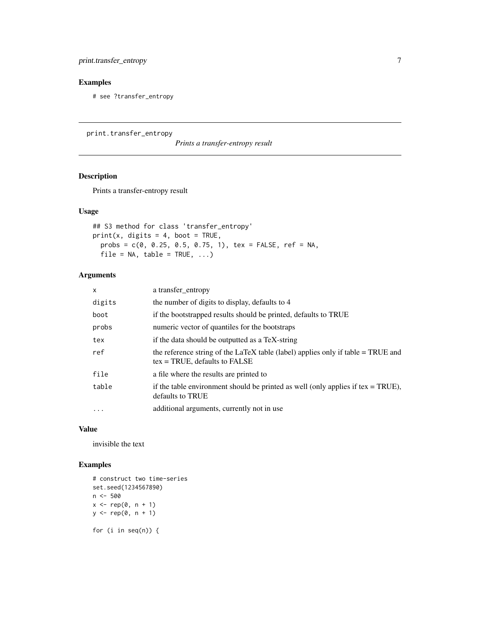#### <span id="page-6-0"></span>Examples

# see ?transfer\_entropy

<span id="page-6-1"></span>print.transfer\_entropy

*Prints a transfer-entropy result*

#### Description

Prints a transfer-entropy result

#### Usage

```
## S3 method for class 'transfer_entropy'
print(x, digits = 4, boot = TRUE,probs = c(0, 0.25, 0.5, 0.75, 1), tex = FALSE, ref = NA,
 file = NA, table = TRUE, ...)
```
#### Arguments

| $\times$ | a transfer_entropy                                                                                                   |
|----------|----------------------------------------------------------------------------------------------------------------------|
| digits   | the number of digits to display, defaults to 4                                                                       |
| boot     | if the bootstrapped results should be printed, defaults to TRUE                                                      |
| probs    | numeric vector of quantiles for the bootstraps                                                                       |
| tex      | if the data should be outputted as a TeX-string                                                                      |
| ref      | the reference string of the LaTeX table (label) applies only if table = TRUE and<br>$tex = TRUE$ , defaults to FALSE |
| file     | a file where the results are printed to                                                                              |
| table    | if the table environment should be printed as well (only applies if $tex = TRUE$ ),<br>defaults to TRUE              |
| $\cdot$  | additional arguments, currently not in use                                                                           |

#### Value

invisible the text

#### Examples

```
# construct two time-series
set.seed(1234567890)
n <- 500
x \leq -\operatorname{rep}(\emptyset, n + 1)y <- rep(0, n + 1)
for (i in seq(n)) {
```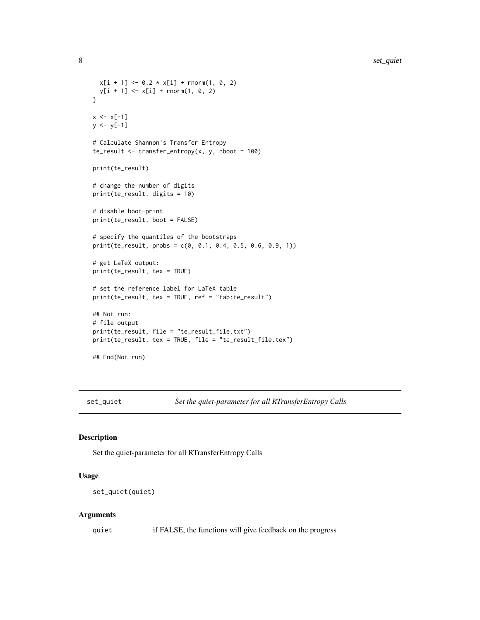```
x[i + 1] \le 0.2 \times x[i] + \text{norm}(1, 0, 2)y[i + 1] < -x[i] + \text{norm}(1, 0, 2)}
x \le -x[-1]y \le y[-1]# Calculate Shannon's Transfer Entropy
te_result <- transfer_entropy(x, y, nboot = 100)
print(te_result)
# change the number of digits
print(te_result, digits = 10)
# disable boot-print
print(te_result, boot = FALSE)
# specify the quantiles of the bootstraps
print(te_result, probs = c(0, 0.1, 0.4, 0.5, 0.6, 0.9, 1))
# get LaTeX output:
print(te_result, tex = TRUE)
# set the reference label for LaTeX table
print(te_result, tex = TRUE, ref = "tab:te_result")
## Not run:
# file output
print(te_result, file = "te_result_file.txt")
print(te_result, tex = TRUE, file = "te_result_file.tex")
## End(Not run)
```
set\_quiet *Set the quiet-parameter for all RTransferEntropy Calls*

#### Description

Set the quiet-parameter for all RTransferEntropy Calls

#### Usage

```
set_quiet(quiet)
```
#### Arguments

quiet if FALSE, the functions will give feedback on the progress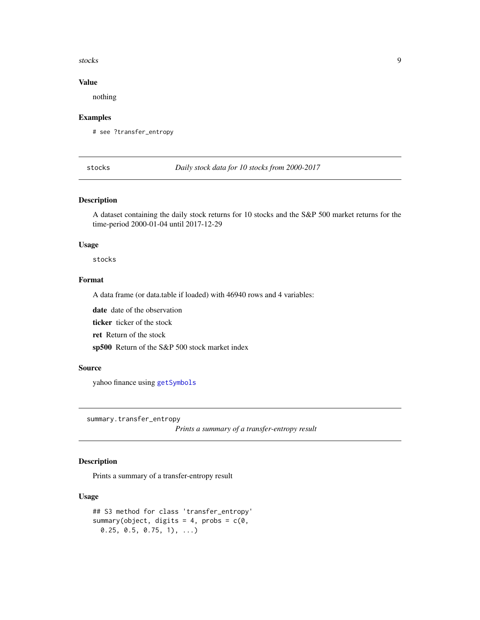#### <span id="page-8-0"></span>stocks and the stocks of the stocks of the stocks of the stocks of the stocks of the stocks of the stocks of the stocks of the stocks of the stocks of the stocks of the stocks of the stocks of the stocks of the stocks of t

#### Value

nothing

#### Examples

# see ?transfer\_entropy

stocks *Daily stock data for 10 stocks from 2000-2017*

#### Description

A dataset containing the daily stock returns for 10 stocks and the S&P 500 market returns for the time-period 2000-01-04 until 2017-12-29

#### Usage

stocks

### Format

A data frame (or data.table if loaded) with 46940 rows and 4 variables:

date date of the observation

ticker ticker of the stock

ret Return of the stock

sp500 Return of the S&P 500 stock market index

#### Source

yahoo finance using [getSymbols](#page-0-0)

summary.transfer\_entropy

*Prints a summary of a transfer-entropy result*

#### Description

Prints a summary of a transfer-entropy result

#### Usage

```
## S3 method for class 'transfer_entropy'
summary(object, digits = 4, probs = c(\emptyset,0.25, 0.5, 0.75, 1), ...)
```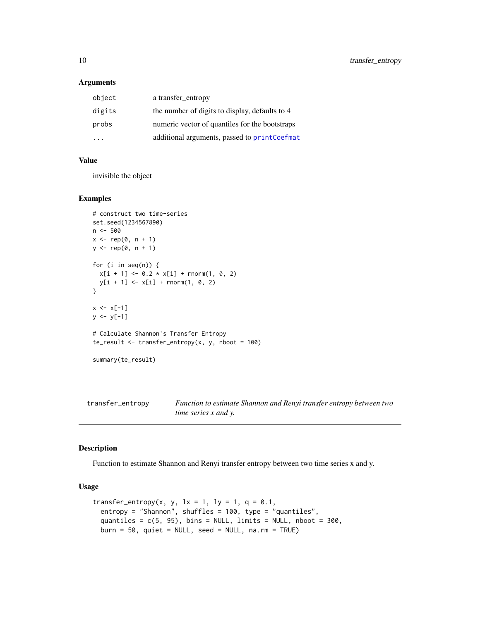#### Arguments

| object                  | a transfer_entropy                             |
|-------------------------|------------------------------------------------|
| digits                  | the number of digits to display, defaults to 4 |
| probs                   | numeric vector of quantiles for the bootstraps |
| $\cdot$ $\cdot$ $\cdot$ | additional arguments, passed to printCoefmat   |

#### Value

invisible the object

#### Examples

```
# construct two time-series
set.seed(1234567890)
n <- 500
x \leq -\operatorname{rep}(\emptyset, n + 1)y \leq - rep(0, n + 1)for (i in seq(n)) {
  x[i + 1] \leftarrow 0.2 \times x[i] + \text{rnorm}(1, 0, 2)y[i + 1] < -x[i] + \text{norm}(1, 0, 2)}
x \leq x[-1]y <- y[-1]
# Calculate Shannon's Transfer Entropy
te\_result \leq transfer\_entropy(x, y, nboot = 100)summary(te_result)
```
<span id="page-9-1"></span>transfer\_entropy *Function to estimate Shannon and Renyi transfer entropy between two time series x and y.*

#### Description

Function to estimate Shannon and Renyi transfer entropy between two time series x and y.

#### Usage

```
transfer_entropy(x, y, 1x = 1, 1y = 1, q = 0.1,
 entropy = "Shannon", shuffles = 100, type = "quantiles",
 quantiles = c(5, 95), bins = NULL, limits = NULL, nboot = 300,
 burn = 50, quiet = NULL, seed = NULL, na.rm = TRUE)
```
<span id="page-9-0"></span>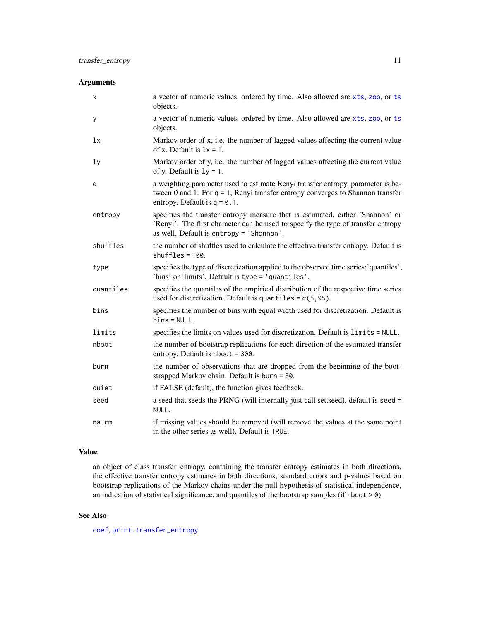#### <span id="page-10-0"></span>Arguments

| х         | a vector of numeric values, ordered by time. Also allowed are xts, zoo, or ts<br>objects.                                                                                                                     |
|-----------|---------------------------------------------------------------------------------------------------------------------------------------------------------------------------------------------------------------|
| У         | a vector of numeric values, ordered by time. Also allowed are xts, zoo, or ts<br>objects.                                                                                                                     |
| 1x        | Markov order of x, i.e. the number of lagged values affecting the current value<br>of x. Default is $1x = 1$ .                                                                                                |
| ly        | Markov order of y, i.e. the number of lagged values affecting the current value<br>of y. Default is $1y = 1$ .                                                                                                |
| q         | a weighting parameter used to estimate Renyi transfer entropy, parameter is be-<br>tween 0 and 1. For $q = 1$ , Renyi transfer entropy converges to Shannon transfer<br>entropy. Default is $q = 0.1$ .       |
| entropy   | specifies the transfer entropy measure that is estimated, either 'Shannon' or<br>'Renyi'. The first character can be used to specify the type of transfer entropy<br>as well. Default is entropy = 'Shannon'. |
| shuffles  | the number of shuffles used to calculate the effective transfer entropy. Default is<br>$shuffles = 100$ .                                                                                                     |
| type      | specifies the type of discretization applied to the observed time series: 'quantiles',<br>'bins' or 'limits'. Default is type = 'quantiles'.                                                                  |
| quantiles | specifies the quantiles of the empirical distribution of the respective time series<br>used for discretization. Default is quantiles = $c(5, 95)$ .                                                           |
| bins      | specifies the number of bins with equal width used for discretization. Default is<br>$bins = NULL.$                                                                                                           |
| limits    | specifies the limits on values used for discretization. Default is limits = NULL.                                                                                                                             |
| nboot     | the number of bootstrap replications for each direction of the estimated transfer<br>entropy. Default is $nboot = 300$ .                                                                                      |
| burn      | the number of observations that are dropped from the beginning of the boot-<br>strapped Markov chain. Default is burn = 50.                                                                                   |
| quiet     | if FALSE (default), the function gives feedback.                                                                                                                                                              |
| seed      | a seed that seeds the PRNG (will internally just call set seed), default is seed =<br>NULL.                                                                                                                   |
| na.rm     | if missing values should be removed (will remove the values at the same point<br>in the other series as well). Default is TRUE.                                                                               |

#### Value

an object of class transfer\_entropy, containing the transfer entropy estimates in both directions, the effective transfer entropy estimates in both directions, standard errors and p-values based on bootstrap replications of the Markov chains under the null hypothesis of statistical independence, an indication of statistical significance, and quantiles of the bootstrap samples (if nboot  $>$  0).

#### See Also

[coef](#page-0-0), [print.transfer\\_entropy](#page-6-1)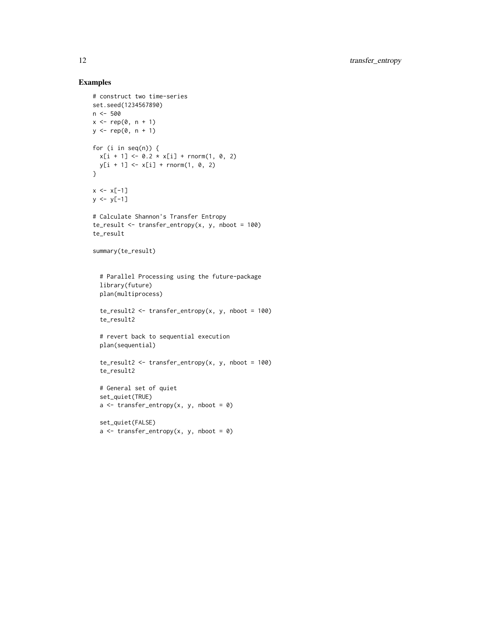#### Examples

```
# construct two time-series
set.seed(1234567890)
n <- 500
x \leftarrow rep(0, n + 1)y \leq - rep(0, n + 1)for (i in seq(n)) {
  x[i + 1] \le 0.2 \times x[i] + \text{norm}(1, 0, 2)y[i + 1] \leq x[i] + \text{norm}(1, 0, 2)}
x \le -x[-1]y \le y[-1]# Calculate Shannon's Transfer Entropy
te\_result \leq transfer\_entropy(x, y, nboot = 100)te_result
summary(te_result)
  # Parallel Processing using the future-package
  library(future)
  plan(multiprocess)
  te\_result2 \leq trainfer\_entropy(x, y, nboot = 100)te_result2
  # revert back to sequential execution
  plan(sequential)
  te_result2 <- transfer_entropy(x, y, nboot = 100)
  te_result2
  # General set of quiet
  set_quiet(TRUE)
  a \leftarrow \text{transfer\_entropy}(x, y, \text{nboot = 0})set_quiet(FALSE)
  a \leftarrow \text{transfer\_entropy}(x, y, \text{nboot = 0})
```